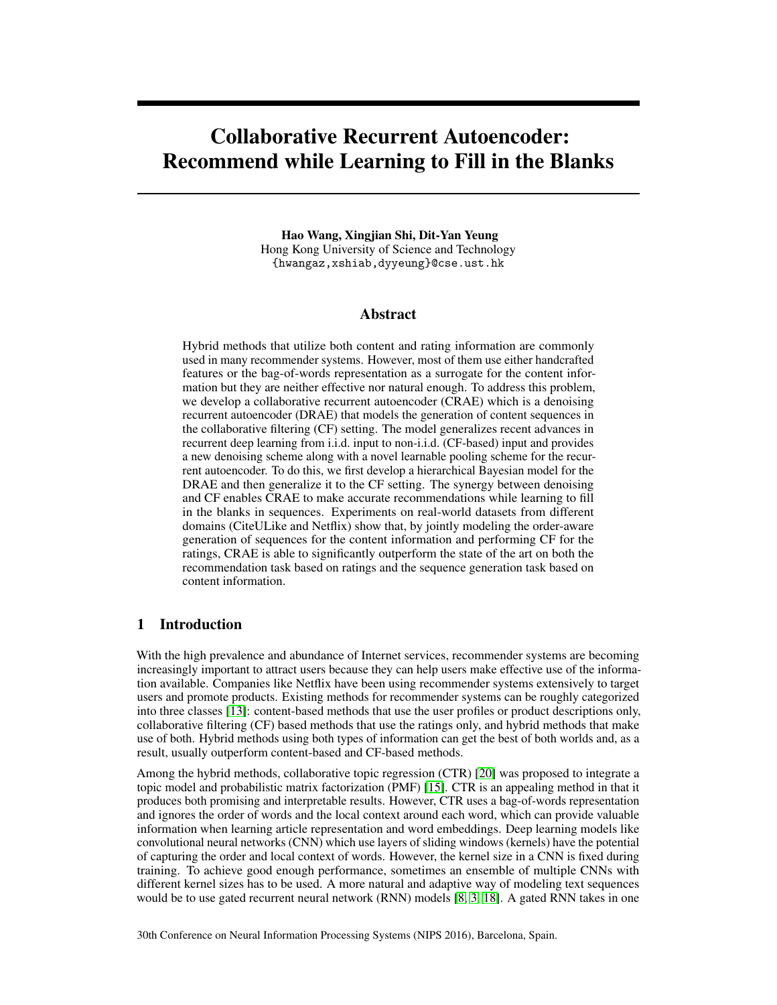# <span id="page-0-0"></span>Collaborative Recurrent Autoencoder: Recommend while Learning to Fill in the Blanks

Hao Wang, Xingjian Shi, Dit-Yan Yeung Hong Kong University of Science and Technology {hwangaz,xshiab,dyyeung}@cse.ust.hk

## Abstract

Hybrid methods that utilize both content and rating information are commonly used in many recommender systems. However, most of them use either handcrafted features or the bag-of-words representation as a surrogate for the content information but they are neither effective nor natural enough. To address this problem, we develop a collaborative recurrent autoencoder (CRAE) which is a denoising recurrent autoencoder (DRAE) that models the generation of content sequences in the collaborative filtering (CF) setting. The model generalizes recent advances in recurrent deep learning from i.i.d. input to non-i.i.d. (CF-based) input and provides a new denoising scheme along with a novel learnable pooling scheme for the recurrent autoencoder. To do this, we first develop a hierarchical Bayesian model for the DRAE and then generalize it to the CF setting. The synergy between denoising and CF enables CRAE to make accurate recommendations while learning to fill in the blanks in sequences. Experiments on real-world datasets from different domains (CiteULike and Netflix) show that, by jointly modeling the order-aware generation of sequences for the content information and performing CF for the ratings, CRAE is able to significantly outperform the state of the art on both the recommendation task based on ratings and the sequence generation task based on content information.

# <span id="page-0-1"></span>1 Introduction

With the high prevalence and abundance of Internet services, recommender systems are becoming increasingly important to attract users because they can help users make effective use of the information available. Companies like Netflix have been using recommender systems extensively to target users and promote products. Existing methods for recommender systems can be roughly categorized into three classes [\[13\]](#page-8-0): content-based methods that use the user profiles or product descriptions only, collaborative filtering (CF) based methods that use the ratings only, and hybrid methods that make use of both. Hybrid methods using both types of information can get the best of both worlds and, as a result, usually outperform content-based and CF-based methods.

Among the hybrid methods, collaborative topic regression (CTR) [\[20\]](#page-8-1) was proposed to integrate a topic model and probabilistic matrix factorization (PMF) [\[15\]](#page-8-2). CTR is an appealing method in that it produces both promising and interpretable results. However, CTR uses a bag-of-words representation and ignores the order of words and the local context around each word, which can provide valuable information when learning article representation and word embeddings. Deep learning models like convolutional neural networks (CNN) which use layers of sliding windows (kernels) have the potential of capturing the order and local context of words. However, the kernel size in a CNN is fixed during training. To achieve good enough performance, sometimes an ensemble of multiple CNNs with different kernel sizes has to be used. A more natural and adaptive way of modeling text sequences would be to use gated recurrent neural network (RNN) models [\[8,](#page-8-3) [3,](#page-8-4) [18\]](#page-8-5). A gated RNN takes in one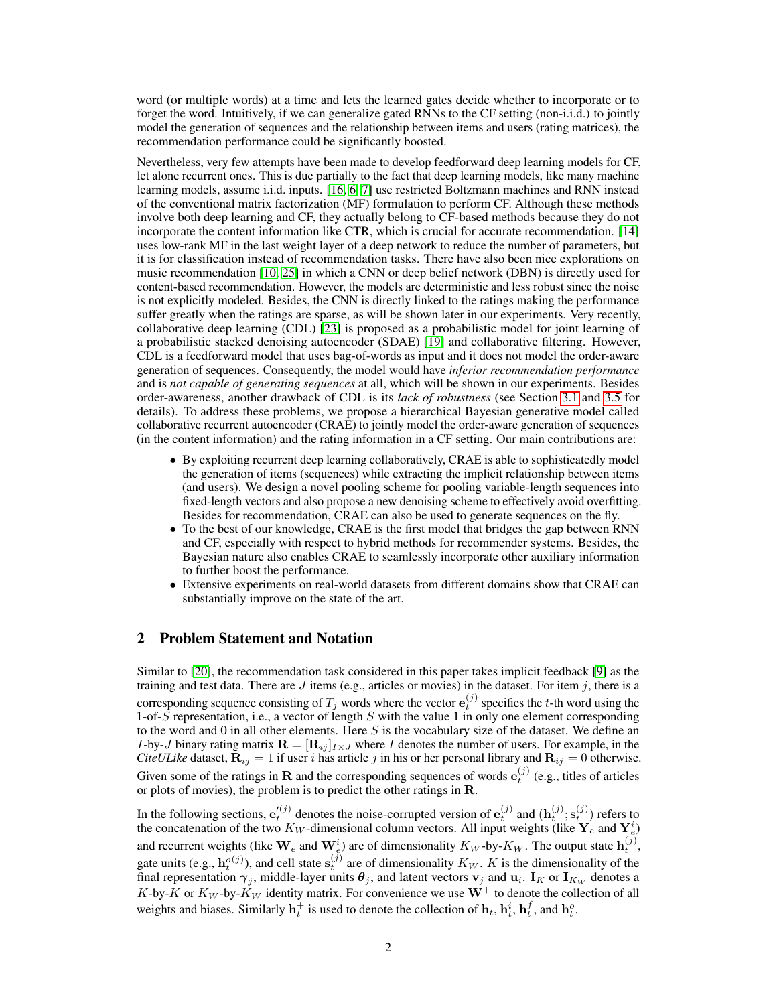word (or multiple words) at a time and lets the learned gates decide whether to incorporate or to forget the word. Intuitively, if we can generalize gated RNNs to the CF setting (non-i.i.d.) to jointly model the generation of sequences and the relationship between items and users (rating matrices), the recommendation performance could be significantly boosted.

Nevertheless, very few attempts have been made to develop feedforward deep learning models for CF, let alone recurrent ones. This is due partially to the fact that deep learning models, like many machine learning models, assume i.i.d. inputs. [\[16,](#page-8-6) [6,](#page-8-7) [7\]](#page-8-8) use restricted Boltzmann machines and RNN instead of the conventional matrix factorization (MF) formulation to perform CF. Although these methods involve both deep learning and CF, they actually belong to CF-based methods because they do not incorporate the content information like CTR, which is crucial for accurate recommendation. [\[14\]](#page-8-9) uses low-rank MF in the last weight layer of a deep network to reduce the number of parameters, but it is for classification instead of recommendation tasks. There have also been nice explorations on music recommendation [\[10,](#page-8-10) [25\]](#page-8-11) in which a CNN or deep belief network (DBN) is directly used for content-based recommendation. However, the models are deterministic and less robust since the noise is not explicitly modeled. Besides, the CNN is directly linked to the ratings making the performance suffer greatly when the ratings are sparse, as will be shown later in our experiments. Very recently, collaborative deep learning (CDL) [\[23\]](#page-8-12) is proposed as a probabilistic model for joint learning of a probabilistic stacked denoising autoencoder (SDAE) [\[19\]](#page-8-13) and collaborative filtering. However, CDL is a feedforward model that uses bag-of-words as input and it does not model the order-aware generation of sequences. Consequently, the model would have *inferior recommendation performance* and is *not capable of generating sequences* at all, which will be shown in our experiments. Besides order-awareness, another drawback of CDL is its *lack of robustness* (see Section [3.1](#page-2-0) and [3.5](#page-4-0) for details). To address these problems, we propose a hierarchical Bayesian generative model called collaborative recurrent autoencoder (CRAE) to jointly model the order-aware generation of sequences (in the content information) and the rating information in a CF setting. Our main contributions are:

- By exploiting recurrent deep learning collaboratively, CRAE is able to sophisticatedly model the generation of items (sequences) while extracting the implicit relationship between items (and users). We design a novel pooling scheme for pooling variable-length sequences into fixed-length vectors and also propose a new denoising scheme to effectively avoid overfitting. Besides for recommendation, CRAE can also be used to generate sequences on the fly.
- To the best of our knowledge, CRAE is the first model that bridges the gap between RNN and CF, especially with respect to hybrid methods for recommender systems. Besides, the Bayesian nature also enables CRAE to seamlessly incorporate other auxiliary information to further boost the performance.
- Extensive experiments on real-world datasets from different domains show that CRAE can substantially improve on the state of the art.

# <span id="page-1-0"></span>2 Problem Statement and Notation

Similar to [\[20\]](#page-8-1), the recommendation task considered in this paper takes implicit feedback [\[9\]](#page-8-14) as the training and test data. There are J items (e.g., articles or movies) in the dataset. For item j, there is a corresponding sequence consisting of  $T_j$  words where the vector  $e_t^{(j)}$  specifies the t-th word using the 1-of-S representation, i.e., a vector of length S with the value 1 in only one element corresponding to the word and 0 in all other elements. Here  $S$  is the vocabulary size of the dataset. We define an I-by-J binary rating matrix  $\mathbf{R} = [\mathbf{R}_{ij}]_{I \times J}$  where I denotes the number of users. For example, in the *CiteULike* dataset,  $\mathbf{R}_{ij} = 1$  if user *i* has article *j* in his or her personal library and  $\mathbf{R}_{ij} = 0$  otherwise. Given some of the ratings in **R** and the corresponding sequences of words  $e_t^{(j)}$  (e.g., titles of articles or plots of movies), the problem is to predict the other ratings in R.

In the following sections,  $e_t^{(j)}$  denotes the noise-corrupted version of  $e_t^{(j)}$  and  $(h_t^{(j)}; s_t^{(j)})$  refers to the concatenation of the two  $K_W$ -dimensional column vectors. All input weights (like  $Y_e$  and  $Y_e^i$ ) and recurrent weights (like  $\mathbf{W}_e$  and  $\mathbf{W}_e^i$ ) are of dimensionality  $K_W$ -by- $K_W$ . The output state  $\mathbf{h}_t^{(j)}$ , gate units (e.g.,  $\mathbf{h}_t^{o(j)}$ ), and cell state  $\mathbf{s}_t^{(j)}$  are of dimensionality  $K_W$ . K is the dimensionality of the final representation  $\gamma_j$ , middle-layer units  $\theta_j$ , and latent vectors  $v_j$  and  $u_i$ .  $I_K$  or  $I_{K_W}$  denotes a K-by-K or  $K_W$ -by- $\tilde{K}_W$  identity matrix. For convenience we use  $W^+$  to denote the collection of all weights and biases. Similarly  $\mathbf{h}_t^+$  is used to denote the collection of  $\mathbf{h}_t$ ,  $\mathbf{h}_t^i$ ,  $\mathbf{h}_t^f$ , and  $\mathbf{h}_t^o$ .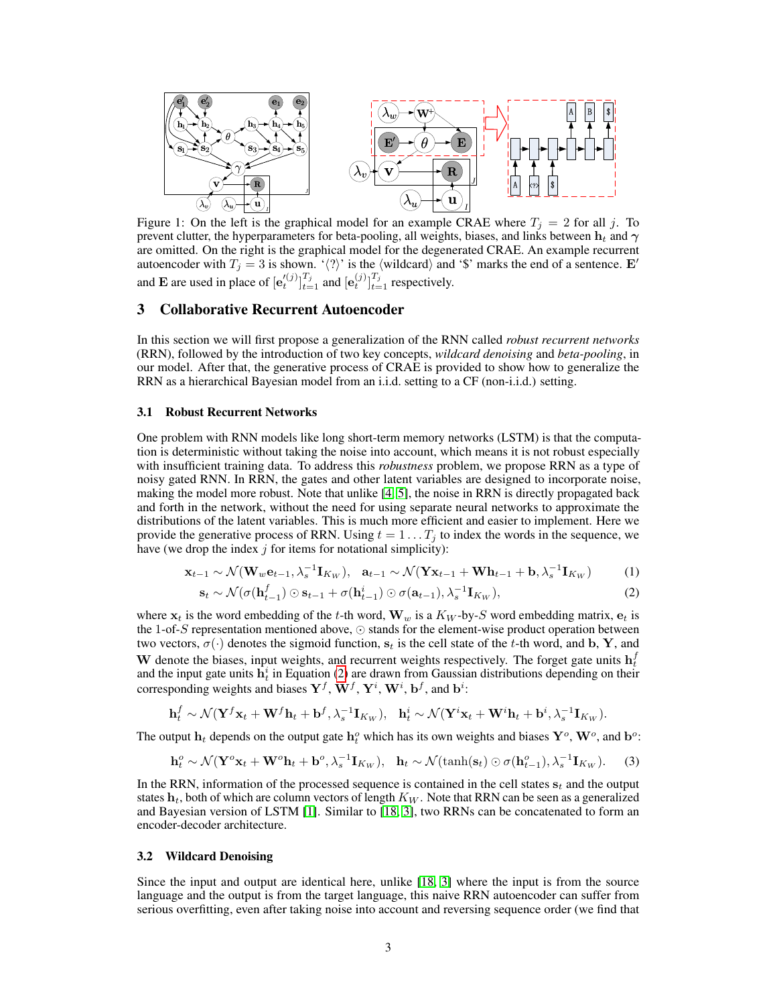<span id="page-2-5"></span>

Figure 1: On the left is the graphical model for an example CRAE where  $T_j = 2$  for all j. To prevent clutter, the hyperparameters for beta-pooling, all weights, biases, and links between  $h_t$  and  $\gamma$ are omitted. On the right is the graphical model for the degenerated CRAE. An example recurrent autoencoder with  $T_j = 3$  is shown. ' $\langle ? \rangle$ ' is the  $\langle$  wildcard $\rangle$  and '\$' marks the end of a sentence. E' and **E** are used in place of  $[e_t^{(j)}]_{t=1}^{T_j}$  and  $[e_t^{(j)}]_{t=1}^{T_j}$  respectively.

## <span id="page-2-6"></span>3 Collaborative Recurrent Autoencoder

In this section we will first propose a generalization of the RNN called *robust recurrent networks* (RRN), followed by the introduction of two key concepts, *wildcard denoising* and *beta-pooling*, in our model. After that, the generative process of CRAE is provided to show how to generalize the RRN as a hierarchical Bayesian model from an i.i.d. setting to a CF (non-i.i.d.) setting.

#### <span id="page-2-0"></span>3.1 Robust Recurrent Networks

One problem with RNN models like long short-term memory networks (LSTM) is that the computation is deterministic without taking the noise into account, which means it is not robust especially with insufficient training data. To address this *robustness* problem, we propose RRN as a type of noisy gated RNN. In RRN, the gates and other latent variables are designed to incorporate noise, making the model more robust. Note that unlike [\[4,](#page-8-15) [5\]](#page-8-16), the noise in RRN is directly propagated back and forth in the network, without the need for using separate neural networks to approximate the distributions of the latent variables. This is much more efficient and easier to implement. Here we provide the generative process of RRN. Using  $t = 1 \dots T_i$  to index the words in the sequence, we have (we drop the index  $j$  for items for notational simplicity):

$$
\mathbf{x}_{t-1} \sim \mathcal{N}(\mathbf{W}_w \mathbf{e}_{t-1}, \lambda_s^{-1} \mathbf{I}_{K_W}), \quad \mathbf{a}_{t-1} \sim \mathcal{N}(\mathbf{Y} \mathbf{x}_{t-1} + \mathbf{W} \mathbf{h}_{t-1} + \mathbf{b}, \lambda_s^{-1} \mathbf{I}_{K_W})
$$
(1)

<span id="page-2-3"></span><span id="page-2-1"></span>
$$
\mathbf{s}_t \sim \mathcal{N}(\sigma(\mathbf{h}_{t-1}^f) \odot \mathbf{s}_{t-1} + \sigma(\mathbf{h}_{t-1}^i) \odot \sigma(\mathbf{a}_{t-1}), \lambda_s^{-1} \mathbf{I}_{K_W}),
$$
\n(2)

where  $x_t$  is the word embedding of the t-th word,  $W_w$  is a  $K_W$ -by-S word embedding matrix,  $e_t$  is the 1-of-S representation mentioned above,  $\odot$  stands for the element-wise product operation between two vectors,  $\sigma(\cdot)$  denotes the sigmoid function,  $s_t$  is the cell state of the t-th word, and b, Y, and W denote the biases, input weights, and recurrent weights respectively. The forget gate units  $h_t^f$ and the input gate units  $\hat{h}_t^i$  in Equation [\(2\)](#page-2-1) are drawn from Gaussian distributions depending on their corresponding weights and biases  $\mathbf{Y}^f, \mathbf{W}^f, \mathbf{Y}^i, \mathbf{W}^i, \mathbf{b}^f$ , and  $\mathbf{b}^i$ :

$$
\mathbf{h}_t^f \sim \mathcal{N}(\mathbf{Y}^f \mathbf{x}_t + \mathbf{W}^f \mathbf{h}_t + \mathbf{b}^f, \lambda_s^{-1} \mathbf{I}_{K_W}), \quad \mathbf{h}_t^i \sim \mathcal{N}(\mathbf{Y}^i \mathbf{x}_t + \mathbf{W}^i \mathbf{h}_t + \mathbf{b}^i, \lambda_s^{-1} \mathbf{I}_{K_W}).
$$

The output  $h_t$  depends on the output gate  $h_t^o$  which has its own weights and biases  $Y^o$ ,  $W^o$ , and  $b^o$ :

<span id="page-2-4"></span>
$$
\mathbf{h}_t^o \sim \mathcal{N}(\mathbf{Y}^o \mathbf{x}_t + \mathbf{W}^o \mathbf{h}_t + \mathbf{b}^o, \lambda_s^{-1} \mathbf{I}_{K_W}), \quad \mathbf{h}_t \sim \mathcal{N}(\tanh(\mathbf{s}_t) \odot \sigma(\mathbf{h}_{t-1}^o), \lambda_s^{-1} \mathbf{I}_{K_W}).
$$
 (3)

In the RRN, information of the processed sequence is contained in the cell states  $s_t$  and the output states  $h_t$ , both of which are column vectors of length  $K_W$ . Note that RRN can be seen as a generalized and Bayesian version of LSTM [\[1\]](#page-8-17). Similar to [\[18,](#page-8-5) [3\]](#page-8-4), two RRNs can be concatenated to form an encoder-decoder architecture.

#### <span id="page-2-2"></span>3.2 Wildcard Denoising

Since the input and output are identical here, unlike [\[18,](#page-8-5) [3\]](#page-8-4) where the input is from the source language and the output is from the target language, this naive RRN autoencoder can suffer from serious overfitting, even after taking noise into account and reversing sequence order (we find that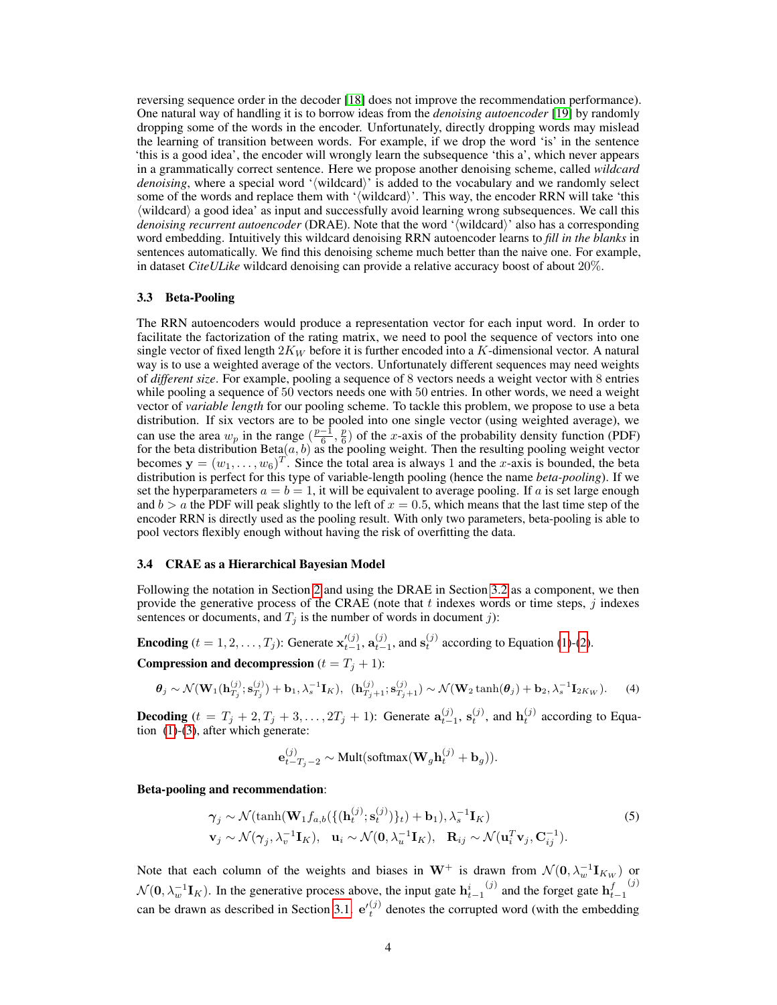reversing sequence order in the decoder [\[18\]](#page-8-5) does not improve the recommendation performance). One natural way of handling it is to borrow ideas from the *denoising autoencoder* [\[19\]](#page-8-13) by randomly dropping some of the words in the encoder. Unfortunately, directly dropping words may mislead the learning of transition between words. For example, if we drop the word 'is' in the sentence 'this is a good idea', the encoder will wrongly learn the subsequence 'this a', which never appears in a grammatically correct sentence. Here we propose another denoising scheme, called *wildcard denoising*, where a special word '(wildcard)' is added to the vocabulary and we randomly select some of the words and replace them with '/wildcard\'. This way, the encoder RRN will take 'this  $\langle$  wildcard $\rangle$  a good idea' as input and successfully avoid learning wrong subsequences. We call this *denoising recurrent autoencoder* (DRAE). Note that the word '(wildcard)' also has a corresponding word embedding. Intuitively this wildcard denoising RRN autoencoder learns to *fill in the blanks* in sentences automatically. We find this denoising scheme much better than the naive one. For example, in dataset *CiteULike* wildcard denoising can provide a relative accuracy boost of about 20%.

#### 3.3 Beta-Pooling

The RRN autoencoders would produce a representation vector for each input word. In order to facilitate the factorization of the rating matrix, we need to pool the sequence of vectors into one single vector of fixed length  $2K_W$  before it is further encoded into a K-dimensional vector. A natural way is to use a weighted average of the vectors. Unfortunately different sequences may need weights of *different size*. For example, pooling a sequence of 8 vectors needs a weight vector with 8 entries while pooling a sequence of 50 vectors needs one with 50 entries. In other words, we need a weight vector of *variable length* for our pooling scheme. To tackle this problem, we propose to use a beta distribution. If six vectors are to be pooled into one single vector (using weighted average), we can use the area  $w_p$  in the range  $(\frac{p-1}{6}, \frac{p}{6})$  of the x-axis of the probability density function (PDF) for the beta distribution Beta $(a, b)$  as the pooling weight. Then the resulting pooling weight vector becomes  $y = (w_1, \dots, w_6)^T$ . Since the total area is always 1 and the x-axis is bounded, the beta distribution is perfect for this type of variable-length pooling (hence the name *beta-pooling*). If we set the hyperparameters  $a = b = 1$ , it will be equivalent to average pooling. If a is set large enough and  $b > a$  the PDF will peak slightly to the left of  $x = 0.5$ , which means that the last time step of the encoder RRN is directly used as the pooling result. With only two parameters, beta-pooling is able to pool vectors flexibly enough without having the risk of overfitting the data.

#### <span id="page-3-2"></span>3.4 CRAE as a Hierarchical Bayesian Model

Following the notation in Section [2](#page-1-0) and using the DRAE in Section [3.2](#page-2-2) as a component, we then provide the generative process of the CRAE (note that  $t$  indexes words or time steps,  $j$  indexes sentences or documents, and  $T_j$  is the number of words in document j):

**Encoding**  $(t = 1, 2, \dots, T_j)$ : Generate  $\mathbf{x}_{t-1}^{(j)}$ ,  $\mathbf{a}_{t-1}^{(j)}$ , and  $\mathbf{s}_t^{(j)}$  according to Equation [\(1\)](#page-2-3)-[\(2\)](#page-2-1).

Compression and decompression  $(t = T<sub>j</sub> + 1)$ :

$$
\boldsymbol{\theta}_j \sim \mathcal{N}(\mathbf{W}_1(\mathbf{h}_{T_j}^{(j)}; \mathbf{s}_{T_j}^{(j)}) + \mathbf{b}_1, \lambda_s^{-1} \mathbf{I}_K), (\mathbf{h}_{T_j+1}^{(j)}; \mathbf{s}_{T_j+1}^{(j)}) \sim \mathcal{N}(\mathbf{W}_2 \tanh(\boldsymbol{\theta}_j) + \mathbf{b}_2, \lambda_s^{-1} \mathbf{I}_{2K_W}).
$$
 (4)

**Decoding**  $(t = T_j + 2, T_j + 3, \ldots, 2T_j + 1)$ : Generate  $\mathbf{a}_{t-1}^{(j)}$ ,  $\mathbf{s}_t^{(j)}$ , and  $\mathbf{h}_t^{(j)}$  according to Equation [\(1\)](#page-2-3)-[\(3\)](#page-2-4), after which generate:

<span id="page-3-1"></span><span id="page-3-0"></span>
$$
\mathbf{e}_{t-T_j-2}^{(j)} \sim \text{Mult}(\text{softmax}(\mathbf{W}_g \mathbf{h}_t^{(j)} + \mathbf{b}_g)).
$$

Beta-pooling and recommendation:

$$
\gamma_j \sim \mathcal{N}(\tanh(\mathbf{W}_1 f_{a,b}(\{(\mathbf{h}_t^{(j)}; \mathbf{s}_t^{(j)})\}_t) + \mathbf{b}_1), \lambda_s^{-1} \mathbf{I}_K) \n\mathbf{v}_j \sim \mathcal{N}(\gamma_j, \lambda_v^{-1} \mathbf{I}_K), \quad \mathbf{u}_i \sim \mathcal{N}(\mathbf{0}, \lambda_u^{-1} \mathbf{I}_K), \quad \mathbf{R}_{ij} \sim \mathcal{N}(\mathbf{u}_i^T \mathbf{v}_j, \mathbf{C}_{ij}^{-1}).
$$
\n(5)

Note that each column of the weights and biases in  $W^+$  is drawn from  $\mathcal{N}(0, \lambda_w^{-1} I_{K_W})$  or  $\mathcal{N}(\mathbf{0}, \lambda_w^{-1} \mathbf{I}_K)$ . In the generative process above, the input gate  $\mathbf{h}_{t-1}^i$  $j^{(j)}$  and the forget gate  $\mathbf{h}_{t-1}^{f}$  $(j)$ can be drawn as described in Section [3.1.](#page-2-0)  $e'_t^{(j)}$  denotes the corrupted word (with the embedding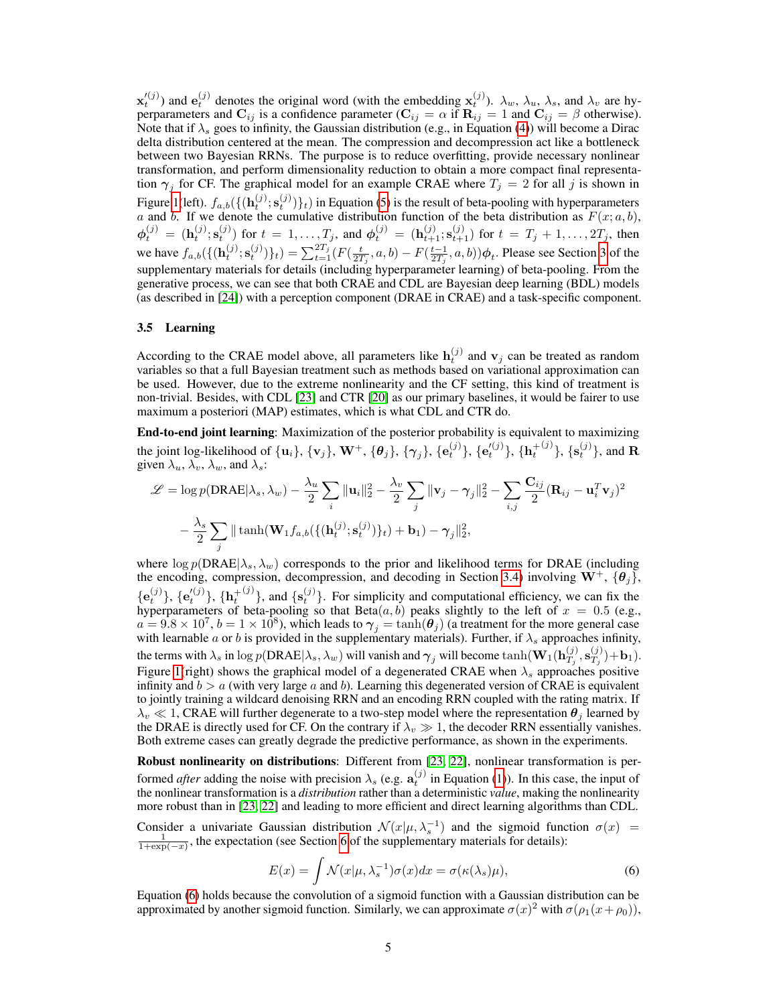$\mathbf{x}'^{(j)}$ ) and  $\mathbf{e}^{(j)}_t$  denotes the original word (with the embedding  $\mathbf{x}^{(j)}_t$ ).  $\lambda_w$ ,  $\lambda_u$ ,  $\lambda_s$ , and  $\lambda_v$  are hyperparameters and  $\mathbf{C}_{ij}$  is a confidence parameter ( $\mathbf{C}_{ij} = \alpha$  if  $\mathbf{R}_{ij} = 1$  and  $\mathbf{C}_{ij} = \beta$  otherwise). Note that if  $\lambda_s$  goes to infinity, the Gaussian distribution (e.g., in Equation [\(4\)](#page-3-0)) will become a Dirac delta distribution centered at the mean. The compression and decompression act like a bottleneck between two Bayesian RRNs. The purpose is to reduce overfitting, provide necessary nonlinear transformation, and perform dimensionality reduction to obtain a more compact final representation  $\gamma_j$  for CF. The graphical model for an example CRAE where  $T_j = 2$  for all j is shown in Figure [1\(](#page-2-5)left).  $f_{a,b}(\{(\mathbf{h}_t^{(j)}; \mathbf{s}_t^{(j)})\}_t)$  in Equation [\(5\)](#page-3-1) is the result of beta-pooling with hyperparameters a and b. If we denote the cumulative distribution function of the beta distribution as  $F(x; a, b)$ ,  $\phi_t^{(j)} = (\mathbf{h}_t^{(j)}; \mathbf{s}_t^{(j)})$  for  $t = 1, ..., T_j$ , and  $\phi_t^{(j)} = (\mathbf{h}_{t+1}^{(j)}; \mathbf{s}_{t+1}^{(j)})$  for  $t = T_j + 1, ..., 2T_j$ , then we have  $f_{a,b}(\{(\mathbf{h}_t^{(j)}; \mathbf{s}_t^{(j)})\}_t) = \sum_{t=1}^{2T_j} (F(\frac{t}{2T_j}, a, b) - F(\frac{t-1}{2T_j}, a, b))\phi_t$ . Please see Section [3](#page-2-6) of the supplementary materials for details (including hyperparameter learning) of beta-pooling. From the generative process, we can see that both CRAE and CDL are Bayesian deep learning (BDL) models (as described in [\[24\]](#page-8-18)) with a perception component (DRAE in CRAE) and a task-specific component.

#### <span id="page-4-0"></span>3.5 Learning

According to the CRAE model above, all parameters like  $\mathbf{h}_t^{(j)}$  and  $\mathbf{v}_j$  can be treated as random variables so that a full Bayesian treatment such as methods based on variational approximation can be used. However, due to the extreme nonlinearity and the CF setting, this kind of treatment is non-trivial. Besides, with CDL [\[23\]](#page-8-12) and CTR [\[20\]](#page-8-1) as our primary baselines, it would be fairer to use maximum a posteriori (MAP) estimates, which is what CDL and CTR do.

End-to-end joint learning: Maximization of the posterior probability is equivalent to maximizing the joint log-likelihood of  $\{{\bf u}_i\},\{{\bf v}_j\},\,{\bf W}^+,\{{\bm \theta}_j\},\{{\bm \gamma}_j\},\{{\bf e}_t^{(j)}\},\{{\bf e}_t'^{(j)}\},\{{\bf h}_t^+$  $^{(j)}\},\{\mathbf{s}_t^{(j)}\},\text{ and }\mathbf{R}$ given  $\lambda_u$ ,  $\lambda_v$ ,  $\lambda_w$ , and  $\lambda_s$ :

$$
\mathcal{L} = \log p(\text{DRAE}|\lambda_s, \lambda_w) - \frac{\lambda_u}{2} \sum_i \|\mathbf{u}_i\|_2^2 - \frac{\lambda_v}{2} \sum_j \|\mathbf{v}_j - \gamma_j\|_2^2 - \sum_{i,j} \frac{\mathbf{C}_{ij}}{2} (\mathbf{R}_{ij} - \mathbf{u}_i^T \mathbf{v}_j)^2
$$

$$
- \frac{\lambda_s}{2} \sum_j \|\tanh(\mathbf{W}_1 f_{a,b}(\{(\mathbf{h}_t^{(j)}; \mathbf{s}_t^{(j)})\}_t) + \mathbf{b}_1) - \gamma_j\|_2^2,
$$

where  $\log p(DRAE|\lambda_s, \lambda_w)$  corresponds to the prior and likelihood terms for DRAE (including the encoding, compression, decompression, and decoding in Section [3.4\)](#page-3-2) involving  $W^+$ ,  $\{\theta_i\}$ ,  $\{ {\bf e}_{t}^{(j)} \}, \{ {\bf e}_{t}'^{(j)} \}, \{ {\bf h}_{t}^{+}$  $\{(\mathbf{s}_t^{(j)})\}$ , and  $\{\mathbf{s}_t^{(j)}\}$ . For simplicity and computational efficiency, we can fix the hyperparameters of beta-pooling so that  $Beta(a, b)$  peaks slightly to the left of  $x = 0.5$  (e.g.,  $a = 9.8 \times 10^7$ ,  $b = 1 \times 10^8$ ), which leads to  $\gamma_j = \tanh(\theta_j)$  (a treatment for the more general case with learnable a or b is provided in the supplementary materials). Further, if  $\lambda_s$  approaches infinity, the terms with  $\lambda_s$  in  $\log p(\text{DRAE}|\lambda_s,\lambda_w)$  will vanish and  $\boldsymbol{\gamma}_j$  will become  $\tanh(\mathbf{W}_1(\mathbf{h}_{T_i}^{(j)}))$  $\mathbf{G}_{T_j}^{(j)},\mathbf{s}_{T_j}^{(j)}$  $\binom{(J)}{T_j} + \mathbf{b}_1$ . Figure [1\(](#page-2-5)right) shows the graphical model of a degenerated CRAE when  $\lambda_s$  approaches positive infinity and  $b > a$  (with very large a and b). Learning this degenerated version of CRAE is equivalent to jointly training a wildcard denoising RRN and an encoding RRN coupled with the rating matrix. If  $\lambda_v \ll 1$ , CRAE will further degenerate to a two-step model where the representation  $\theta_i$  learned by the DRAE is directly used for CF. On the contrary if  $\lambda_v \gg 1$ , the decoder RRN essentially vanishes. Both extreme cases can greatly degrade the predictive performance, as shown in the experiments.

Robust nonlinearity on distributions: Different from [\[23,](#page-8-12) [22\]](#page-8-19), nonlinear transformation is performed *after* adding the noise with precision  $\lambda_s$  (e.g.  $\mathbf{a}_t^{(j)}$  in Equation [\(1\)](#page-2-3)). In this case, the input of the nonlinear transformation is a *distribution* rather than a deterministic *value*, making the nonlinearity more robust than in [\[23,](#page-8-12) [22\]](#page-8-19) and leading to more efficient and direct learning algorithms than CDL.

Consider a univariate Gaussian distribution  $\mathcal{N}(x|\mu, \lambda_s^{-1})$  and the sigmoid function  $\sigma(x)$  =  $\frac{1}{1+\exp(-x)}$ , the expectation (see Section [6](#page-0-0) of the supplementary materials for details):

<span id="page-4-1"></span>
$$
E(x) = \int \mathcal{N}(x|\mu, \lambda_s^{-1})\sigma(x)dx = \sigma(\kappa(\lambda_s)\mu),\tag{6}
$$

Equation [\(6\)](#page-4-1) holds because the convolution of a sigmoid function with a Gaussian distribution can be approximated by another sigmoid function. Similarly, we can approximate  $\sigma(x)^2$  with  $\sigma(\rho_1(x+\rho_0))$ ,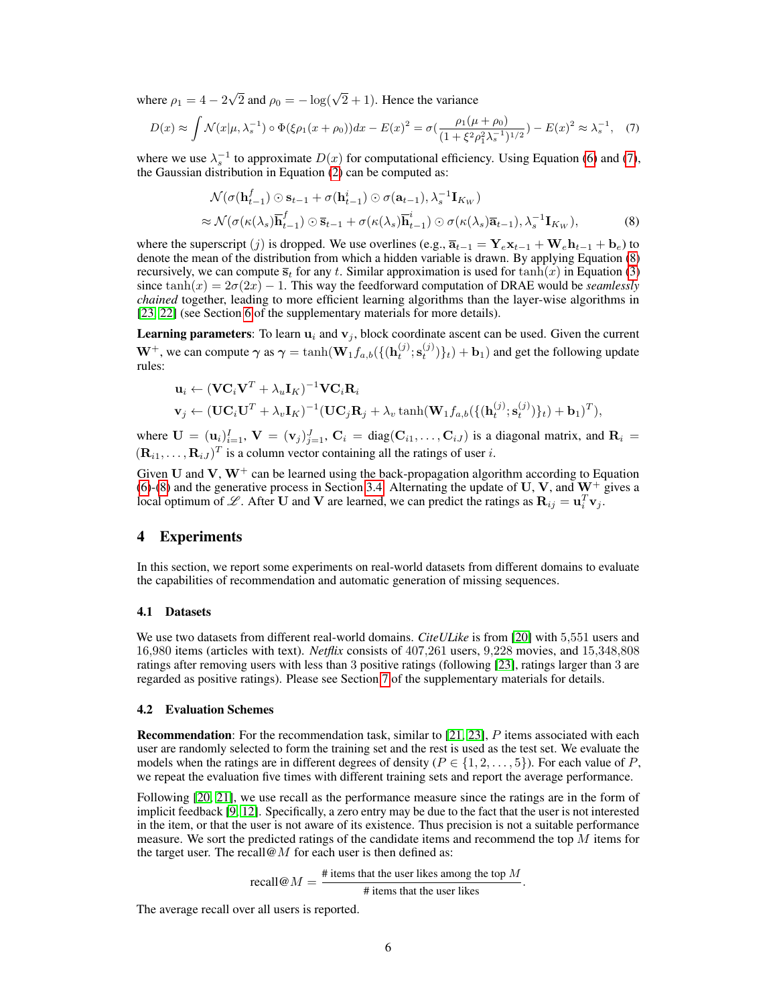where  $\rho_1 = 4 - 2$  $\sqrt{2}$  and  $\rho_0 = -\log(\sqrt{2} + 1)$ . Hence the variance

$$
D(x) \approx \int \mathcal{N}(x|\mu, \lambda_s^{-1}) \circ \Phi(\xi \rho_1(x+\rho_0)) dx - E(x)^2 = \sigma(\frac{\rho_1(\mu+\rho_0)}{(1+\xi^2 \rho_1^2 \lambda_s^{-1})^{1/2}}) - E(x)^2 \approx \lambda_s^{-1}, \quad (7)
$$

where we use  $\lambda_s^{-1}$  to approximate  $D(x)$  for computational efficiency. Using Equation [\(6\)](#page-4-1) and [\(7\)](#page-5-0), the Gaussian distribution in Equation  $(2)$  can be computed as:

<span id="page-5-1"></span><span id="page-5-0"></span>
$$
\mathcal{N}(\sigma(\mathbf{h}_{t-1}^f) \odot \mathbf{s}_{t-1} + \sigma(\mathbf{h}_{t-1}^i) \odot \sigma(\mathbf{a}_{t-1}), \lambda_s^{-1} \mathbf{I}_{K_W})
$$
\n
$$
\approx \mathcal{N}(\sigma(\kappa(\lambda_s)\overline{\mathbf{h}}_{t-1}^f) \odot \overline{\mathbf{s}}_{t-1} + \sigma(\kappa(\lambda_s)\overline{\mathbf{h}}_{t-1}^i) \odot \sigma(\kappa(\lambda_s)\overline{\mathbf{a}}_{t-1}), \lambda_s^{-1} \mathbf{I}_{K_W}),
$$
\n(8)

where the superscript (j) is dropped. We use overlines (e.g.,  $\overline{\mathbf{a}}_{t-1} = \mathbf{Y}_e \mathbf{x}_{t-1} + \mathbf{W}_e \mathbf{h}_{t-1} + \mathbf{b}_e$ ) to denote the mean of the distribution from which a hidden variable is drawn. By applying Equation [\(8\)](#page-5-1) recursively, we can compute  $\bar{s}_t$  for any t. Similar approximation is used for  $tanh(x)$  in Equation [\(3\)](#page-2-4) since tanh $(x) = 2\sigma(2x) - 1$ . This way the feedforward computation of DRAE would be *seamlessly chained* together, leading to more efficient learning algorithms than the layer-wise algorithms in [\[23,](#page-8-12) [22\]](#page-8-19) (see Section [6](#page-0-0) of the supplementary materials for more details).

**Learning parameters:** To learn  $\mathbf{u}_i$  and  $\mathbf{v}_j$ , block coordinate ascent can be used. Given the current  $W^+$ , we can compute  $\gamma$  as  $\gamma = \tanh(W_1 f_{a,b}(\{(\mathbf{h}_t^{(j)}; \mathbf{s}_t^{(j)})\}_t) + \mathbf{b}_1)$  and get the following update rules:

$$
\mathbf{u}_i \leftarrow (\mathbf{V}\mathbf{C}_i\mathbf{V}^T + \lambda_u \mathbf{I}_K)^{-1}\mathbf{V}\mathbf{C}_i\mathbf{R}_i
$$
  

$$
\mathbf{v}_j \leftarrow (\mathbf{U}\mathbf{C}_i\mathbf{U}^T + \lambda_v \mathbf{I}_K)^{-1}(\mathbf{U}\mathbf{C}_j\mathbf{R}_j + \lambda_v \tanh(\mathbf{W}_1 f_{a,b}(\{(\mathbf{h}_t^{(j)};\mathbf{s}_t^{(j)})\}_t) + \mathbf{b}_1)^T),
$$

where  $\mathbf{U} = (\mathbf{u}_i)_{i=1}^I$ ,  $\mathbf{V} = (\mathbf{v}_j)_{j=1}^J$ ,  $\mathbf{C}_i = \text{diag}(\mathbf{C}_{i1}, \dots, \mathbf{C}_{iJ})$  is a diagonal matrix, and  $\mathbf{R}_i =$  $(\mathbf{R}_{i1}, \dots, \mathbf{R}_{iJ})^T$  is a column vector containing all the ratings of user i.

Given U and V,  $W^+$  can be learned using the back-propagation algorithm according to Equation [\(6\)](#page-4-1)-[\(8\)](#page-5-1) and the generative process in Section [3.4.](#page-3-2) Alternating the update of U, V, and  $W^+$  gives a local optimum of  $\mathscr{L}$ . After U and V are learned, we can predict the ratings as  $\mathbf{R}_{ij} = \mathbf{u}_i^T \mathbf{v}_j$ .

# <span id="page-5-2"></span>4 Experiments

In this section, we report some experiments on real-world datasets from different domains to evaluate the capabilities of recommendation and automatic generation of missing sequences.

#### 4.1 Datasets

We use two datasets from different real-world domains. *CiteULike* is from [\[20\]](#page-8-1) with 5,551 users and 16,980 items (articles with text). *Netflix* consists of 407,261 users, 9,228 movies, and 15,348,808 ratings after removing users with less than 3 positive ratings (following [\[23\]](#page-8-12), ratings larger than 3 are regarded as positive ratings). Please see Section [7](#page-0-0) of the supplementary materials for details.

#### <span id="page-5-3"></span>4.2 Evaluation Schemes

**Recommendation**: For the recommendation task, similar to  $[21, 23]$  $[21, 23]$  $[21, 23]$ , P items associated with each user are randomly selected to form the training set and the rest is used as the test set. We evaluate the models when the ratings are in different degrees of density ( $P \in \{1, 2, \ldots, 5\}$ ). For each value of P, we repeat the evaluation five times with different training sets and report the average performance.

Following [\[20,](#page-8-1) [21\]](#page-8-20), we use recall as the performance measure since the ratings are in the form of implicit feedback [\[9,](#page-8-14) [12\]](#page-8-21). Specifically, a zero entry may be due to the fact that the user is not interested in the item, or that the user is not aware of its existence. Thus precision is not a suitable performance measure. We sort the predicted ratings of the candidate items and recommend the top  $M$  items for the target user. The recall  $\omega M$  for each user is then defined as:

> recall  $\mathcal{Q}M = \frac{\text{\# items that the user likes among the top }M}{\text{# items that the user likes among the top }M}$ # items that the user likes .

The average recall over all users is reported.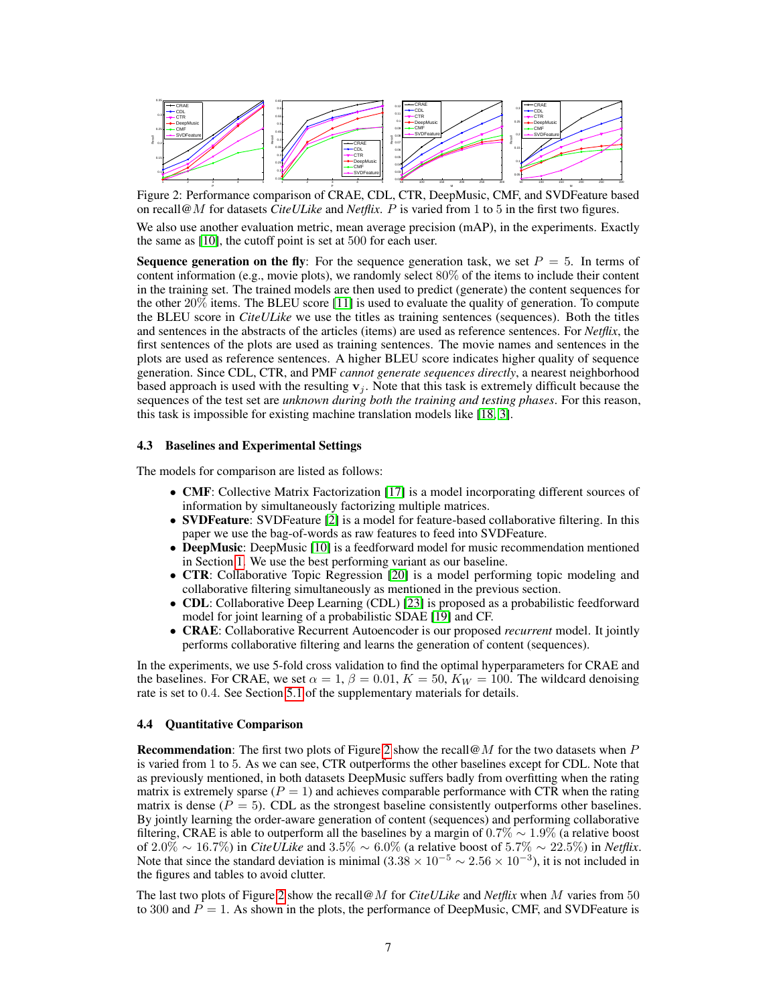<span id="page-6-0"></span>![](_page_6_Figure_0.jpeg)

Figure 2: Performance comparison of CRAE, CDL, CTR, DeepMusic, CMF, and SVDFeature based on recall@M for datasets *CiteULike* and *Netflix*. P is varied from 1 to 5 in the first two figures.

We also use another evaluation metric, mean average precision (mAP), in the experiments. Exactly the same as [\[10\]](#page-8-10), the cutoff point is set at 500 for each user.

**Sequence generation on the fly:** For the sequence generation task, we set  $P = 5$ . In terms of content information (e.g., movie plots), we randomly select 80% of the items to include their content in the training set. The trained models are then used to predict (generate) the content sequences for the other 20% items. The BLEU score [\[11\]](#page-8-22) is used to evaluate the quality of generation. To compute the BLEU score in *CiteULike* we use the titles as training sentences (sequences). Both the titles and sentences in the abstracts of the articles (items) are used as reference sentences. For *Netflix*, the first sentences of the plots are used as training sentences. The movie names and sentences in the plots are used as reference sentences. A higher BLEU score indicates higher quality of sequence generation. Since CDL, CTR, and PMF *cannot generate sequences directly*, a nearest neighborhood based approach is used with the resulting  $v_j$ . Note that this task is extremely difficult because the sequences of the test set are *unknown during both the training and testing phases*. For this reason, this task is impossible for existing machine translation models like [\[18,](#page-8-5) [3\]](#page-8-4).

#### 4.3 Baselines and Experimental Settings

The models for comparison are listed as follows:

- CMF: Collective Matrix Factorization [\[17\]](#page-8-23) is a model incorporating different sources of information by simultaneously factorizing multiple matrices.
- **SVDFeature**: SVDFeature [\[2\]](#page-8-24) is a model for feature-based collaborative filtering. In this paper we use the bag-of-words as raw features to feed into SVDFeature.
- **DeepMusic**: DeepMusic [\[10\]](#page-8-10) is a feedforward model for music recommendation mentioned in Section [1.](#page-0-1) We use the best performing variant as our baseline.
- CTR: Collaborative Topic Regression [\[20\]](#page-8-1) is a model performing topic modeling and collaborative filtering simultaneously as mentioned in the previous section.
- CDL: Collaborative Deep Learning (CDL) [\[23\]](#page-8-12) is proposed as a probabilistic feedforward model for joint learning of a probabilistic SDAE [\[19\]](#page-8-13) and CF.
- CRAE: Collaborative Recurrent Autoencoder is our proposed *recurrent* model. It jointly performs collaborative filtering and learns the generation of content (sequences).

In the experiments, we use 5-fold cross validation to find the optimal hyperparameters for CRAE and the baselines. For CRAE, we set  $\alpha = 1$ ,  $\beta = 0.01$ ,  $K = 50$ ,  $K_W = 100$ . The wildcard denoising rate is set to 0.4. See Section [5.1](#page-0-0) of the supplementary materials for details.

#### 4.4 Quantitative Comparison

**Recommendation:** The first two plots of Figure [2](#page-6-0) show the recall  $\omega M$  for the two datasets when P is varied from 1 to 5. As we can see, CTR outperforms the other baselines except for CDL. Note that as previously mentioned, in both datasets DeepMusic suffers badly from overfitting when the rating matrix is extremely sparse ( $P = 1$ ) and achieves comparable performance with CTR when the rating matrix is dense ( $P = 5$ ). CDL as the strongest baseline consistently outperforms other baselines. By jointly learning the order-aware generation of content (sequences) and performing collaborative filtering, CRAE is able to outperform all the baselines by a margin of  $0.7\% \sim 1.9\%$  (a relative boost of 2.0% ∼ 16.7%) in *CiteULike* and 3.5% ∼ 6.0% (a relative boost of 5.7% ∼ 22.5%) in *Netflix*. Note that since the standard deviation is minimal  $(3.38 \times 10^{-5} \sim 2.56 \times 10^{-3})$ , it is not included in the figures and tables to avoid clutter.

The last two plots of Figure [2](#page-6-0) show the recall@M for *CiteULike* and *Netflix* when M varies from 50 to 300 and  $P = 1$ . As shown in the plots, the performance of DeepMusic, CMF, and SVDFeature is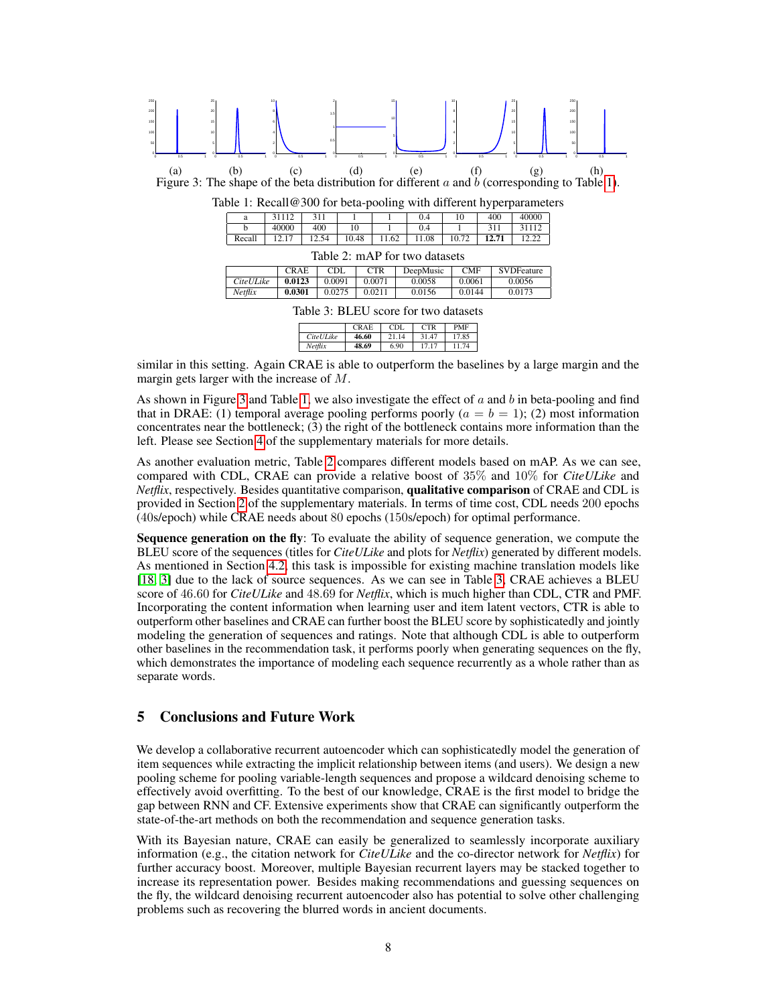<span id="page-7-1"></span><span id="page-7-0"></span>![](_page_7_Figure_0.jpeg)

|                  | <b>CRAE</b> | CDL   | <b>CTR</b> | <b>PMF</b> |
|------------------|-------------|-------|------------|------------|
| <i>CiteULike</i> | 46.60       | 21.14 | 31.47      | 17.85      |
| Netflix          | 48.69       | 6.90  | 17.17      | 11.74      |

<span id="page-7-3"></span><span id="page-7-2"></span>similar in this setting. Again CRAE is able to outperform the baselines by a large margin and the margin gets larger with the increase of M.

As shown in Figure [3](#page-7-1) and Table [1,](#page-7-0) we also investigate the effect of  $a$  and  $b$  in beta-pooling and find that in DRAE: (1) temporal average pooling performs poorly  $(a = b = 1)$ ; (2) most information concentrates near the bottleneck; (3) the right of the bottleneck contains more information than the left. Please see Section [4](#page-5-2) of the supplementary materials for more details.

As another evaluation metric, Table [2](#page-7-2) compares different models based on mAP. As we can see, compared with CDL, CRAE can provide a relative boost of 35% and 10% for *CiteULike* and *Netflix*, respectively. Besides quantitative comparison, qualitative comparison of CRAE and CDL is provided in Section [2](#page-1-0) of the supplementary materials. In terms of time cost, CDL needs 200 epochs (40s/epoch) while CRAE needs about 80 epochs (150s/epoch) for optimal performance.

Sequence generation on the fly: To evaluate the ability of sequence generation, we compute the BLEU score of the sequences (titles for *CiteULike* and plots for *Netflix*) generated by different models. As mentioned in Section [4.2,](#page-5-3) this task is impossible for existing machine translation models like [\[18,](#page-8-5) [3\]](#page-8-4) due to the lack of source sequences. As we can see in Table [3,](#page-7-3) CRAE achieves a BLEU score of 46.60 for *CiteULike* and 48.69 for *Netflix*, which is much higher than CDL, CTR and PMF. Incorporating the content information when learning user and item latent vectors, CTR is able to outperform other baselines and CRAE can further boost the BLEU score by sophisticatedly and jointly modeling the generation of sequences and ratings. Note that although CDL is able to outperform other baselines in the recommendation task, it performs poorly when generating sequences on the fly, which demonstrates the importance of modeling each sequence recurrently as a whole rather than as separate words.

## 5 Conclusions and Future Work

We develop a collaborative recurrent autoencoder which can sophisticatedly model the generation of item sequences while extracting the implicit relationship between items (and users). We design a new pooling scheme for pooling variable-length sequences and propose a wildcard denoising scheme to effectively avoid overfitting. To the best of our knowledge, CRAE is the first model to bridge the gap between RNN and CF. Extensive experiments show that CRAE can significantly outperform the state-of-the-art methods on both the recommendation and sequence generation tasks.

With its Bayesian nature, CRAE can easily be generalized to seamlessly incorporate auxiliary information (e.g., the citation network for *CiteULike* and the co-director network for *Netflix*) for further accuracy boost. Moreover, multiple Bayesian recurrent layers may be stacked together to increase its representation power. Besides making recommendations and guessing sequences on the fly, the wildcard denoising recurrent autoencoder also has potential to solve other challenging problems such as recovering the blurred words in ancient documents.